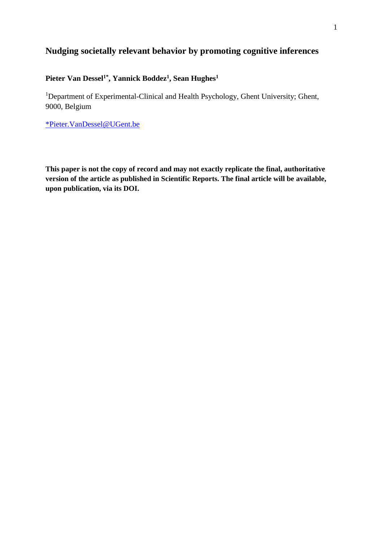# **Nudging societally relevant behavior by promoting cognitive inferences**

## **Pieter Van Dessel1\*, Yannick Boddez<sup>1</sup> , Sean Hughes<sup>1</sup>**

<sup>1</sup>Department of Experimental-Clinical and Health Psychology, Ghent University; Ghent, 9000, Belgium

[\\*Pieter.VanDessel@UGent.be](mailto:*Pieter.VanDessel@UGent.be)

**This paper is not the copy of record and may not exactly replicate the final, authoritative version of the article as published in Scientific Reports. The final article will be available, upon publication, via its DOI.**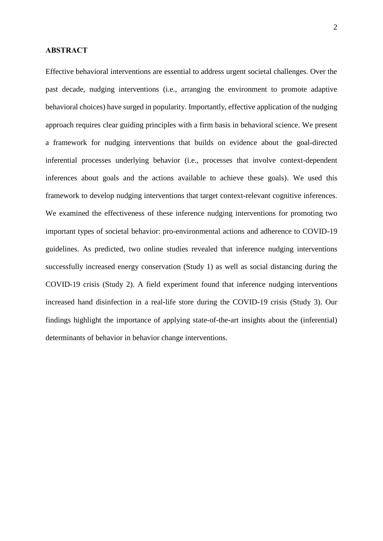#### **ABSTRACT**

Effective behavioral interventions are essential to address urgent societal challenges. Over the past decade, nudging interventions (i.e., arranging the environment to promote adaptive behavioral choices) have surged in popularity. Importantly, effective application of the nudging approach requires clear guiding principles with a firm basis in behavioral science. We present a framework for nudging interventions that builds on evidence about the goal-directed inferential processes underlying behavior (i.e., processes that involve context-dependent inferences about goals and the actions available to achieve these goals). We used this framework to develop nudging interventions that target context-relevant cognitive inferences. We examined the effectiveness of these inference nudging interventions for promoting two important types of societal behavior: pro-environmental actions and adherence to COVID-19 guidelines. As predicted, two online studies revealed that inference nudging interventions successfully increased energy conservation (Study 1) as well as social distancing during the COVID-19 crisis (Study 2). A field experiment found that inference nudging interventions increased hand disinfection in a real-life store during the COVID-19 crisis (Study 3). Our findings highlight the importance of applying state-of-the-art insights about the (inferential) determinants of behavior in behavior change interventions.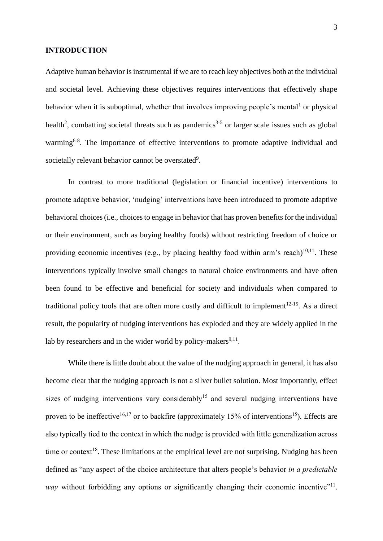#### **INTRODUCTION**

Adaptive human behavior is instrumental if we are to reach key objectives both at the individual and societal level. Achieving these objectives requires interventions that effectively shape behavior when it is suboptimal, whether that involves improving people's mental<sup>1</sup> or physical health<sup>2</sup>, combatting societal threats such as pandemics<sup>3-5</sup> or larger scale issues such as global warming<sup>6-8</sup>. The importance of effective interventions to promote adaptive individual and societally relevant behavior cannot be overstated<sup>9</sup>.

In contrast to more traditional (legislation or financial incentive) interventions to promote adaptive behavior, 'nudging' interventions have been introduced to promote adaptive behavioral choices (i.e., choices to engage in behavior that has proven benefits for the individual or their environment, such as buying healthy foods) without restricting freedom of choice or providing economic incentives (e.g., by placing healthy food within arm's reach) $10,11$ . These interventions typically involve small changes to natural choice environments and have often been found to be effective and beneficial for society and individuals when compared to traditional policy tools that are often more costly and difficult to implement<sup>12-15</sup>. As a direct result, the popularity of nudging interventions has exploded and they are widely applied in the lab by researchers and in the wider world by policy-makers<sup>9,11</sup>.

While there is little doubt about the value of the nudging approach in general, it has also become clear that the nudging approach is not a silver bullet solution. Most importantly, effect sizes of nudging interventions vary considerably<sup>15</sup> and several nudging interventions have proven to be ineffective<sup>16,17</sup> or to backfire (approximately 15% of interventions<sup>15</sup>). Effects are also typically tied to the context in which the nudge is provided with little generalization across time or context<sup>18</sup>. These limitations at the empirical level are not surprising. Nudging has been defined as "any aspect of the choice architecture that alters people's behavior *in a predictable*  way without forbidding any options or significantly changing their economic incentive"<sup>11</sup>.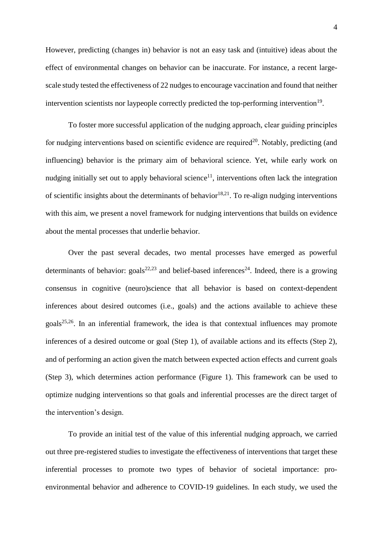However, predicting (changes in) behavior is not an easy task and (intuitive) ideas about the effect of environmental changes on behavior can be inaccurate. For instance, a recent largescale study tested the effectiveness of 22 nudges to encourage vaccination and found that neither intervention scientists nor laypeople correctly predicted the top-performing intervention<sup>19</sup>.

To foster more successful application of the nudging approach, clear guiding principles for nudging interventions based on scientific evidence are required<sup>20</sup>. Notably, predicting (and influencing) behavior is the primary aim of behavioral science. Yet, while early work on nudging initially set out to apply behavioral science<sup>11</sup>, interventions often lack the integration of scientific insights about the determinants of behavior<sup>18,21</sup>. To re-align nudging interventions with this aim, we present a novel framework for nudging interventions that builds on evidence about the mental processes that underlie behavior.

Over the past several decades, two mental processes have emerged as powerful determinants of behavior:  $\text{goals}^{22,23}$  and belief-based inferences<sup>24</sup>. Indeed, there is a growing consensus in cognitive (neuro)science that all behavior is based on context-dependent inferences about desired outcomes (i.e., goals) and the actions available to achieve these goals<sup>25,26</sup>. In an inferential framework, the idea is that contextual influences may promote inferences of a desired outcome or goal (Step 1), of available actions and its effects (Step 2), and of performing an action given the match between expected action effects and current goals (Step 3), which determines action performance (Figure 1). This framework can be used to optimize nudging interventions so that goals and inferential processes are the direct target of the intervention's design.

To provide an initial test of the value of this inferential nudging approach, we carried out three pre-registered studies to investigate the effectiveness of interventions that target these inferential processes to promote two types of behavior of societal importance: proenvironmental behavior and adherence to COVID-19 guidelines. In each study, we used the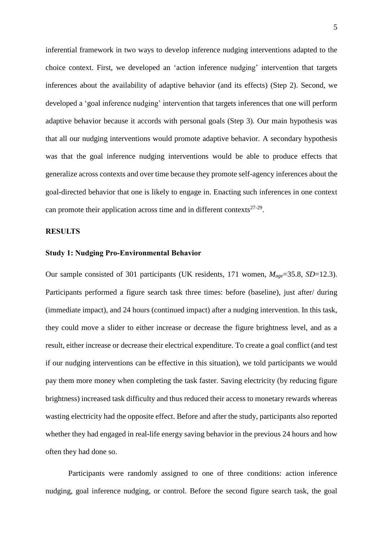inferential framework in two ways to develop inference nudging interventions adapted to the choice context. First, we developed an 'action inference nudging' intervention that targets inferences about the availability of adaptive behavior (and its effects) (Step 2). Second, we developed a 'goal inference nudging' intervention that targets inferences that one will perform adaptive behavior because it accords with personal goals (Step 3). Our main hypothesis was that all our nudging interventions would promote adaptive behavior. A secondary hypothesis was that the goal inference nudging interventions would be able to produce effects that generalize across contexts and over time because they promote self-agency inferences about the goal-directed behavior that one is likely to engage in. Enacting such inferences in one context can promote their application across time and in different contexts $27-29$ .

### **RESULTS**

#### **Study 1: Nudging Pro-Environmental Behavior**

Our sample consisted of 301 participants (UK residents, 171 women, *Mage*=35.8, *SD*=12.3). Participants performed a figure search task three times: before (baseline), just after/ during (immediate impact), and 24 hours (continued impact) after a nudging intervention. In this task, they could move a slider to either increase or decrease the figure brightness level, and as a result, either increase or decrease their electrical expenditure. To create a goal conflict (and test if our nudging interventions can be effective in this situation), we told participants we would pay them more money when completing the task faster. Saving electricity (by reducing figure brightness) increased task difficulty and thus reduced their access to monetary rewards whereas wasting electricity had the opposite effect. Before and after the study, participants also reported whether they had engaged in real-life energy saving behavior in the previous 24 hours and how often they had done so.

Participants were randomly assigned to one of three conditions: action inference nudging, goal inference nudging, or control. Before the second figure search task, the goal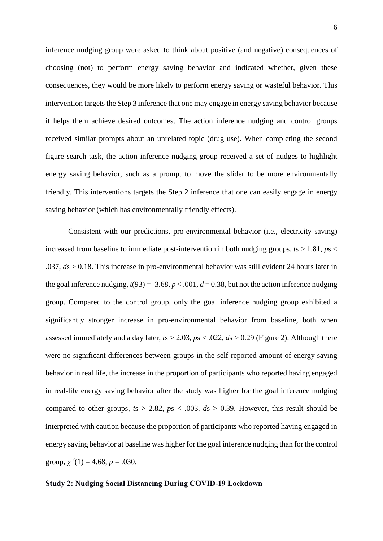inference nudging group were asked to think about positive (and negative) consequences of choosing (not) to perform energy saving behavior and indicated whether, given these consequences, they would be more likely to perform energy saving or wasteful behavior. This intervention targets the Step 3 inference that one may engage in energy saving behavior because it helps them achieve desired outcomes. The action inference nudging and control groups received similar prompts about an unrelated topic (drug use). When completing the second figure search task, the action inference nudging group received a set of nudges to highlight energy saving behavior, such as a prompt to move the slider to be more environmentally friendly. This interventions targets the Step 2 inference that one can easily engage in energy saving behavior (which has environmentally friendly effects).

Consistent with our predictions, pro-environmental behavior (i.e., electricity saving) increased from baseline to immediate post-intervention in both nudging groups,  $ts > 1.81$ ,  $ps <$ .037, *d*s > 0.18. This increase in pro-environmental behavior was still evident 24 hours later in the goal inference nudging,  $t(93) = -3.68$ ,  $p < .001$ ,  $d = 0.38$ , but not the action inference nudging group. Compared to the control group, only the goal inference nudging group exhibited a significantly stronger increase in pro-environmental behavior from baseline, both when assessed immediately and a day later, *t*s > 2.03, *p*s < .022, *d*s > 0.29 (Figure 2). Although there were no significant differences between groups in the self-reported amount of energy saving behavior in real life, the increase in the proportion of participants who reported having engaged in real-life energy saving behavior after the study was higher for the goal inference nudging compared to other groups,  $ts > 2.82$ ,  $ps < .003$ ,  $ds > 0.39$ . However, this result should be interpreted with caution because the proportion of participants who reported having engaged in energy saving behavior at baseline was higher for the goal inference nudging than for the control group,  $\chi^2(1) = 4.68$ ,  $p = .030$ .

### **Study 2: Nudging Social Distancing During COVID-19 Lockdown**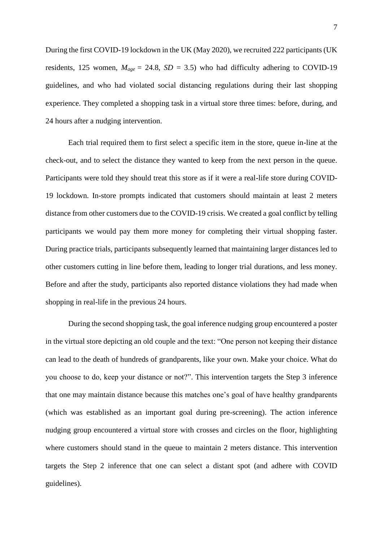During the first COVID-19 lockdown in the UK (May 2020), we recruited 222 participants (UK residents, 125 women,  $M_{age} = 24.8$ ,  $SD = 3.5$ ) who had difficulty adhering to COVID-19 guidelines, and who had violated social distancing regulations during their last shopping experience. They completed a shopping task in a virtual store three times: before, during, and 24 hours after a nudging intervention.

Each trial required them to first select a specific item in the store, queue in-line at the check-out, and to select the distance they wanted to keep from the next person in the queue. Participants were told they should treat this store as if it were a real-life store during COVID-19 lockdown. In-store prompts indicated that customers should maintain at least 2 meters distance from other customers due to the COVID-19 crisis. We created a goal conflict by telling participants we would pay them more money for completing their virtual shopping faster. During practice trials, participants subsequently learned that maintaining larger distances led to other customers cutting in line before them, leading to longer trial durations, and less money. Before and after the study, participants also reported distance violations they had made when shopping in real-life in the previous 24 hours.

During the second shopping task, the goal inference nudging group encountered a poster in the virtual store depicting an old couple and the text: "One person not keeping their distance can lead to the death of hundreds of grandparents, like your own. Make your choice. What do you choose to do, keep your distance or not?". This intervention targets the Step 3 inference that one may maintain distance because this matches one's goal of have healthy grandparents (which was established as an important goal during pre-screening). The action inference nudging group encountered a virtual store with crosses and circles on the floor, highlighting where customers should stand in the queue to maintain 2 meters distance. This intervention targets the Step 2 inference that one can select a distant spot (and adhere with COVID guidelines).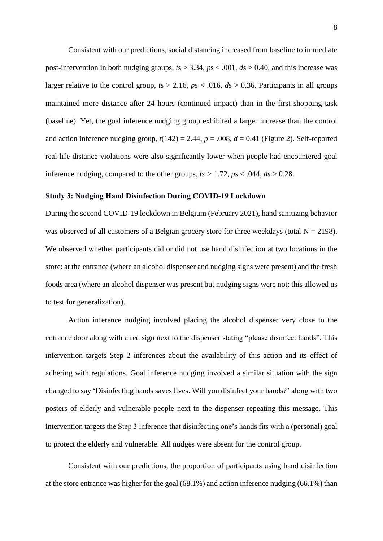Consistent with our predictions, social distancing increased from baseline to immediate post-intervention in both nudging groups,  $ts > 3.34$ ,  $ps < .001$ ,  $ds > 0.40$ , and this increase was larger relative to the control group,  $ts > 2.16$ ,  $ps < .016$ ,  $ds > 0.36$ . Participants in all groups maintained more distance after 24 hours (continued impact) than in the first shopping task (baseline). Yet, the goal inference nudging group exhibited a larger increase than the control and action inference nudging group,  $t(142) = 2.44$ ,  $p = .008$ ,  $d = 0.41$  (Figure 2). Self-reported real-life distance violations were also significantly lower when people had encountered goal inference nudging, compared to the other groups,  $ts > 1.72$ ,  $ps < .044$ ,  $ds > 0.28$ .

#### **Study 3: Nudging Hand Disinfection During COVID-19 Lockdown**

During the second COVID-19 lockdown in Belgium (February 2021), hand sanitizing behavior was observed of all customers of a Belgian grocery store for three weekdays (total  $N = 2198$ ). We observed whether participants did or did not use hand disinfection at two locations in the store: at the entrance (where an alcohol dispenser and nudging signs were present) and the fresh foods area (where an alcohol dispenser was present but nudging signs were not; this allowed us to test for generalization).

Action inference nudging involved placing the alcohol dispenser very close to the entrance door along with a red sign next to the dispenser stating "please disinfect hands". This intervention targets Step 2 inferences about the availability of this action and its effect of adhering with regulations. Goal inference nudging involved a similar situation with the sign changed to say 'Disinfecting hands saves lives. Will you disinfect your hands?' along with two posters of elderly and vulnerable people next to the dispenser repeating this message. This intervention targets the Step 3 inference that disinfecting one's hands fits with a (personal) goal to protect the elderly and vulnerable. All nudges were absent for the control group.

Consistent with our predictions, the proportion of participants using hand disinfection at the store entrance was higher for the goal (68.1%) and action inference nudging (66.1%) than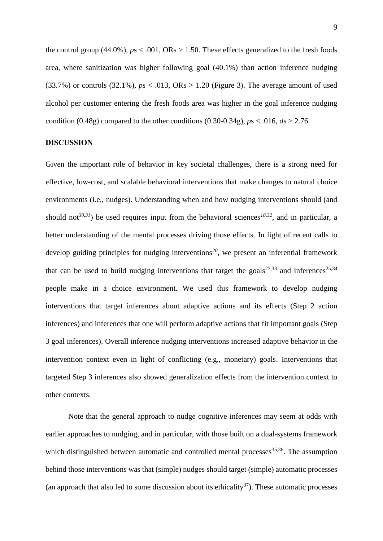the control group (44.0%),  $ps < .001$ ,  $ORs > 1.50$ . These effects generalized to the fresh foods area, where sanitization was higher following goal (40.1%) than action inference nudging  $(33.7%)$  or controls  $(32.1%)$ ,  $p_s < .013$ ,  $ORs > 1.20$  (Figure 3). The average amount of used alcohol per customer entering the fresh foods area was higher in the goal inference nudging condition (0.48g) compared to the other conditions (0.30-0.34g),  $p_s < .016$ ,  $ds > 2.76$ .

#### **DISCUSSION**

Given the important role of behavior in key societal challenges, there is a strong need for effective, low-cost, and scalable behavioral interventions that make changes to natural choice environments (i.e., nudges). Understanding when and how nudging interventions should (and should not<sup>30,31</sup>) be used requires input from the behavioral sciences<sup>18,32</sup>, and in particular, a better understanding of the mental processes driving those effects. In light of recent calls to develop guiding principles for nudging interventions*<sup>20</sup>* , we present an inferential framework that can be used to build nudging interventions that target the goals<sup>27,33</sup> and inferences<sup>25,34</sup> people make in a choice environment. We used this framework to develop nudging interventions that target inferences about adaptive actions and its effects (Step 2 action inferences) and inferences that one will perform adaptive actions that fit important goals (Step 3 goal inferences). Overall inference nudging interventions increased adaptive behavior in the intervention context even in light of conflicting (e.g., monetary) goals. Interventions that targeted Step 3 inferences also showed generalization effects from the intervention context to other contexts.

Note that the general approach to nudge cognitive inferences may seem at odds with earlier approaches to nudging, and in particular, with those built on a dual-systems framework which distinguished between automatic and controlled mental processes $35,36$ . The assumption behind those interventions was that (simple) nudges should target (simple) automatic processes (an approach that also led to some discussion about its ethicality $37$ ). These automatic processes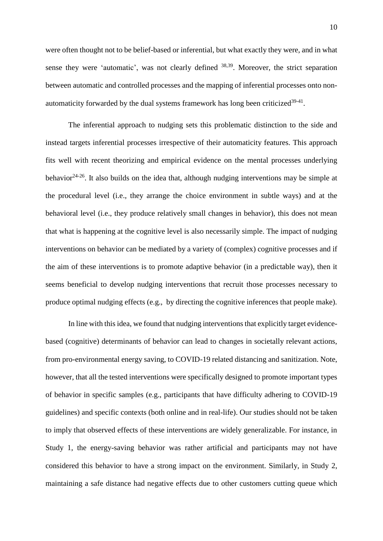were often thought not to be belief-based or inferential, but what exactly they were, and in what sense they were 'automatic', was not clearly defined  $38,39$ . Moreover, the strict separation between automatic and controlled processes and the mapping of inferential processes onto nonautomaticity forwarded by the dual systems framework has long been criticized $39-41$ .

The inferential approach to nudging sets this problematic distinction to the side and instead targets inferential processes irrespective of their automaticity features. This approach fits well with recent theorizing and empirical evidence on the mental processes underlying behavior<sup>24-26</sup>. It also builds on the idea that, although nudging interventions may be simple at the procedural level (i.e., they arrange the choice environment in subtle ways) and at the behavioral level (i.e., they produce relatively small changes in behavior), this does not mean that what is happening at the cognitive level is also necessarily simple. The impact of nudging interventions on behavior can be mediated by a variety of (complex) cognitive processes and if the aim of these interventions is to promote adaptive behavior (in a predictable way), then it seems beneficial to develop nudging interventions that recruit those processes necessary to produce optimal nudging effects (e.g., by directing the cognitive inferences that people make).

In line with this idea, we found that nudging interventions that explicitly target evidencebased (cognitive) determinants of behavior can lead to changes in societally relevant actions, from pro-environmental energy saving, to COVID-19 related distancing and sanitization. Note, however, that all the tested interventions were specifically designed to promote important types of behavior in specific samples (e.g., participants that have difficulty adhering to COVID-19 guidelines) and specific contexts (both online and in real-life). Our studies should not be taken to imply that observed effects of these interventions are widely generalizable. For instance, in Study 1, the energy-saving behavior was rather artificial and participants may not have considered this behavior to have a strong impact on the environment. Similarly, in Study 2, maintaining a safe distance had negative effects due to other customers cutting queue which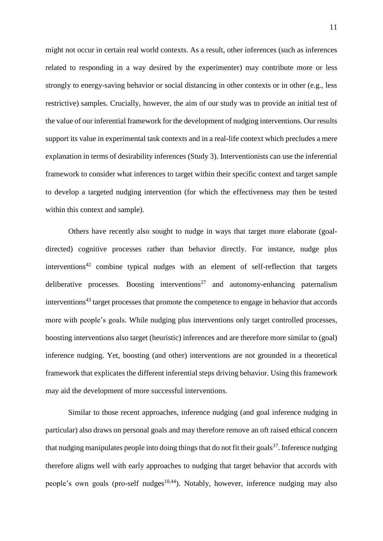might not occur in certain real world contexts. As a result, other inferences (such as inferences related to responding in a way desired by the experimenter) may contribute more or less strongly to energy-saving behavior or social distancing in other contexts or in other (e.g., less restrictive) samples. Crucially, however, the aim of our study was to provide an initial test of the value of our inferential framework for the development of nudging interventions. Our results support its value in experimental task contexts and in a real-life context which precludes a mere explanation in terms of desirability inferences (Study 3). Interventionists can use the inferential framework to consider what inferences to target within their specific context and target sample to develop a targeted nudging intervention (for which the effectiveness may then be tested within this context and sample).

Others have recently also sought to nudge in ways that target more elaborate (goaldirected) cognitive processes rather than behavior directly. For instance, nudge plus  $interventions<sup>42</sup>$  combine typical nudges with an element of self-reflection that targets deliberative processes. Boosting interventions<sup>27</sup> and autonomy-enhancing paternalism interventions<sup>43</sup> target processes that promote the competence to engage in behavior that accords more with people's goals. While nudging plus interventions only target controlled processes, boosting interventions also target (heuristic) inferences and are therefore more similar to (goal) inference nudging. Yet, boosting (and other) interventions are not grounded in a theoretical framework that explicates the different inferential steps driving behavior. Using this framework may aid the development of more successful interventions.

Similar to those recent approaches, inference nudging (and goal inference nudging in particular) also draws on personal goals and may therefore remove an oft raised ethical concern that nudging manipulates people into doing things that do not fit their goals<sup>37</sup>. Inference nudging therefore aligns well with early approaches to nudging that target behavior that accords with people's own goals (pro-self nudges<sup>10,44</sup>). Notably, however, inference nudging may also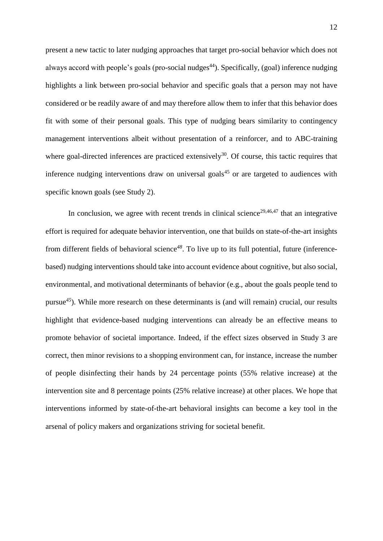present a new tactic to later nudging approaches that target pro-social behavior which does not always accord with people's goals (pro-social nudges<sup>44</sup>). Specifically, (goal) inference nudging highlights a link between pro-social behavior and specific goals that a person may not have considered or be readily aware of and may therefore allow them to infer that this behavior does fit with some of their personal goals. This type of nudging bears similarity to contingency management interventions albeit without presentation of a reinforcer, and to ABC-training where goal-directed inferences are practiced extensively<sup>30</sup>. Of course, this tactic requires that inference nudging interventions draw on universal goals<sup>45</sup> or are targeted to audiences with specific known goals (see Study 2).

In conclusion, we agree with recent trends in clinical science<sup>29,46,47</sup> that an integrative effort is required for adequate behavior intervention, one that builds on state-of-the-art insights from different fields of behavioral science*<sup>48</sup>* . To live up to its full potential, future (inferencebased) nudging interventions should take into account evidence about cognitive, but also social, environmental, and motivational determinants of behavior (e.g., about the goals people tend to pursue*<sup>45</sup>*). While more research on these determinants is (and will remain) crucial, our results highlight that evidence-based nudging interventions can already be an effective means to promote behavior of societal importance. Indeed, if the effect sizes observed in Study 3 are correct, then minor revisions to a shopping environment can, for instance, increase the number of people disinfecting their hands by 24 percentage points (55% relative increase) at the intervention site and 8 percentage points (25% relative increase) at other places. We hope that interventions informed by state-of-the-art behavioral insights can become a key tool in the arsenal of policy makers and organizations striving for societal benefit.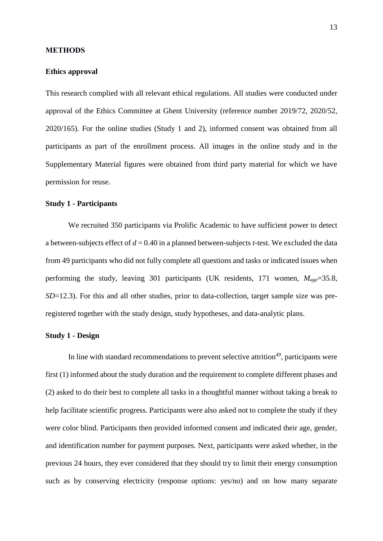#### **METHODS**

#### **Ethics approval**

This research complied with all relevant ethical regulations. All studies were conducted under approval of the Ethics Committee at Ghent University (reference number 2019/72, 2020/52, 2020/165). For the online studies (Study 1 and 2), informed consent was obtained from all participants as part of the enrollment process. All images in the online study and in the Supplementary Material figures were obtained from third party material for which we have permission for reuse.

#### **Study 1 - Participants**

We recruited 350 participants via Prolific Academic to have sufficient power to detect a between-subjects effect of *d* = 0.40 in a planned between-subjects *t*-test. We excluded the data from 49 participants who did not fully complete all questions and tasks or indicated issues when performing the study, leaving 301 participants (UK residents, 171 women, *Mage*=35.8, *SD*=12.3). For this and all other studies, prior to data-collection, target sample size was preregistered together with the study design, study hypotheses, and data-analytic plans.

#### **Study 1 - Design**

In line with standard recommendations to prevent selective attrition*<sup>49</sup>* , participants were first (1) informed about the study duration and the requirement to complete different phases and (2) asked to do their best to complete all tasks in a thoughtful manner without taking a break to help facilitate scientific progress. Participants were also asked not to complete the study if they were color blind. Participants then provided informed consent and indicated their age, gender, and identification number for payment purposes. Next, participants were asked whether, in the previous 24 hours, they ever considered that they should try to limit their energy consumption such as by conserving electricity (response options: yes/no) and on how many separate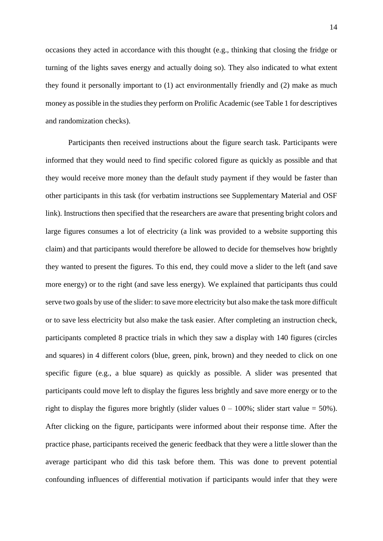occasions they acted in accordance with this thought (e.g., thinking that closing the fridge or turning of the lights saves energy and actually doing so). They also indicated to what extent they found it personally important to (1) act environmentally friendly and (2) make as much money as possible in the studies they perform on Prolific Academic (see Table 1 for descriptives and randomization checks).

Participants then received instructions about the figure search task. Participants were informed that they would need to find specific colored figure as quickly as possible and that they would receive more money than the default study payment if they would be faster than other participants in this task (for verbatim instructions see Supplementary Material and OSF link). Instructions then specified that the researchers are aware that presenting bright colors and large figures consumes a lot of electricity (a link was provided to a website supporting this claim) and that participants would therefore be allowed to decide for themselves how brightly they wanted to present the figures. To this end, they could move a slider to the left (and save more energy) or to the right (and save less energy). We explained that participants thus could serve two goals by use of the slider: to save more electricity but also make the task more difficult or to save less electricity but also make the task easier. After completing an instruction check, participants completed 8 practice trials in which they saw a display with 140 figures (circles and squares) in 4 different colors (blue, green, pink, brown) and they needed to click on one specific figure (e.g., a blue square) as quickly as possible. A slider was presented that participants could move left to display the figures less brightly and save more energy or to the right to display the figures more brightly (slider values  $0 - 100\%$ ; slider start value = 50%). After clicking on the figure, participants were informed about their response time. After the practice phase, participants received the generic feedback that they were a little slower than the average participant who did this task before them. This was done to prevent potential confounding influences of differential motivation if participants would infer that they were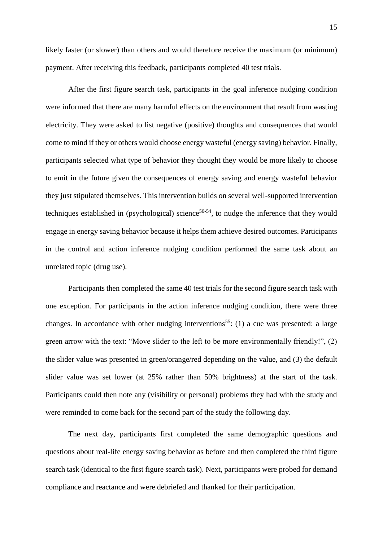likely faster (or slower) than others and would therefore receive the maximum (or minimum) payment. After receiving this feedback, participants completed 40 test trials.

After the first figure search task, participants in the goal inference nudging condition were informed that there are many harmful effects on the environment that result from wasting electricity. They were asked to list negative (positive) thoughts and consequences that would come to mind if they or others would choose energy wasteful (energy saving) behavior. Finally, participants selected what type of behavior they thought they would be more likely to choose to emit in the future given the consequences of energy saving and energy wasteful behavior they just stipulated themselves. This intervention builds on several well-supported intervention techniques established in (psychological) science<sup>50-54</sup>, to nudge the inference that they would engage in energy saving behavior because it helps them achieve desired outcomes. Participants in the control and action inference nudging condition performed the same task about an unrelated topic (drug use).

Participants then completed the same 40 test trials for the second figure search task with one exception. For participants in the action inference nudging condition, there were three changes. In accordance with other nudging interventions<sup>55</sup>: (1) a cue was presented: a large green arrow with the text: "Move slider to the left to be more environmentally friendly!", (2) the slider value was presented in green/orange/red depending on the value, and (3) the default slider value was set lower (at 25% rather than 50% brightness) at the start of the task. Participants could then note any (visibility or personal) problems they had with the study and were reminded to come back for the second part of the study the following day.

The next day, participants first completed the same demographic questions and questions about real-life energy saving behavior as before and then completed the third figure search task (identical to the first figure search task). Next, participants were probed for demand compliance and reactance and were debriefed and thanked for their participation.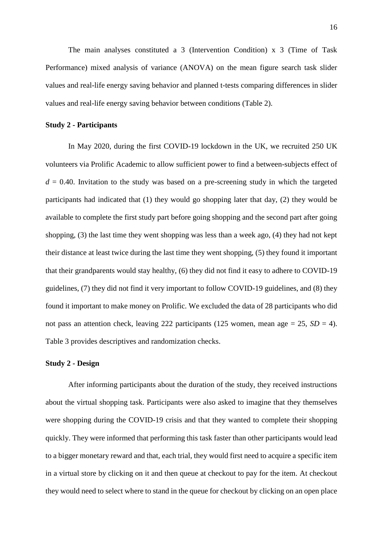The main analyses constituted a 3 (Intervention Condition) x 3 (Time of Task Performance) mixed analysis of variance (ANOVA) on the mean figure search task slider values and real-life energy saving behavior and planned t-tests comparing differences in slider values and real-life energy saving behavior between conditions (Table 2).

## **Study 2 - Participants**

In May 2020, during the first COVID-19 lockdown in the UK, we recruited 250 UK volunteers via Prolific Academic to allow sufficient power to find a between-subjects effect of  $d = 0.40$ . Invitation to the study was based on a pre-screening study in which the targeted participants had indicated that (1) they would go shopping later that day, (2) they would be available to complete the first study part before going shopping and the second part after going shopping, (3) the last time they went shopping was less than a week ago, (4) they had not kept their distance at least twice during the last time they went shopping, (5) they found it important that their grandparents would stay healthy, (6) they did not find it easy to adhere to COVID-19 guidelines, (7) they did not find it very important to follow COVID-19 guidelines, and (8) they found it important to make money on Prolific. We excluded the data of 28 participants who did not pass an attention check, leaving 222 participants (125 women, mean age  $= 25$ ,  $SD = 4$ ). Table 3 provides descriptives and randomization checks.

## **Study 2 - Design**

After informing participants about the duration of the study, they received instructions about the virtual shopping task. Participants were also asked to imagine that they themselves were shopping during the COVID-19 crisis and that they wanted to complete their shopping quickly. They were informed that performing this task faster than other participants would lead to a bigger monetary reward and that, each trial, they would first need to acquire a specific item in a virtual store by clicking on it and then queue at checkout to pay for the item. At checkout they would need to select where to stand in the queue for checkout by clicking on an open place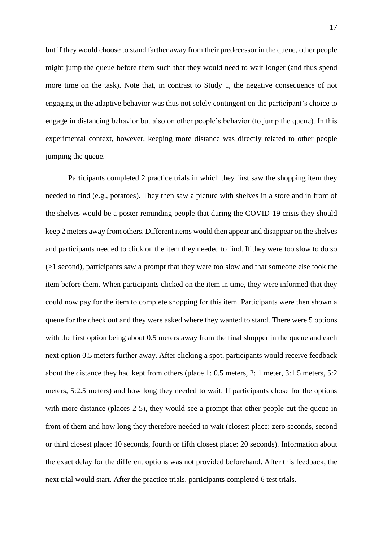but if they would choose to stand farther away from their predecessor in the queue, other people might jump the queue before them such that they would need to wait longer (and thus spend more time on the task). Note that, in contrast to Study 1, the negative consequence of not engaging in the adaptive behavior was thus not solely contingent on the participant's choice to engage in distancing behavior but also on other people's behavior (to jump the queue). In this experimental context, however, keeping more distance was directly related to other people jumping the queue.

Participants completed 2 practice trials in which they first saw the shopping item they needed to find (e.g., potatoes). They then saw a picture with shelves in a store and in front of the shelves would be a poster reminding people that during the COVID-19 crisis they should keep 2 meters away from others. Different items would then appear and disappear on the shelves and participants needed to click on the item they needed to find. If they were too slow to do so  $(>1$  second), participants saw a prompt that they were too slow and that someone else took the item before them. When participants clicked on the item in time, they were informed that they could now pay for the item to complete shopping for this item. Participants were then shown a queue for the check out and they were asked where they wanted to stand. There were 5 options with the first option being about 0.5 meters away from the final shopper in the queue and each next option 0.5 meters further away. After clicking a spot, participants would receive feedback about the distance they had kept from others (place 1: 0.5 meters, 2: 1 meter, 3:1.5 meters, 5:2 meters, 5:2.5 meters) and how long they needed to wait. If participants chose for the options with more distance (places 2-5), they would see a prompt that other people cut the queue in front of them and how long they therefore needed to wait (closest place: zero seconds, second or third closest place: 10 seconds, fourth or fifth closest place: 20 seconds). Information about the exact delay for the different options was not provided beforehand. After this feedback, the next trial would start. After the practice trials, participants completed 6 test trials.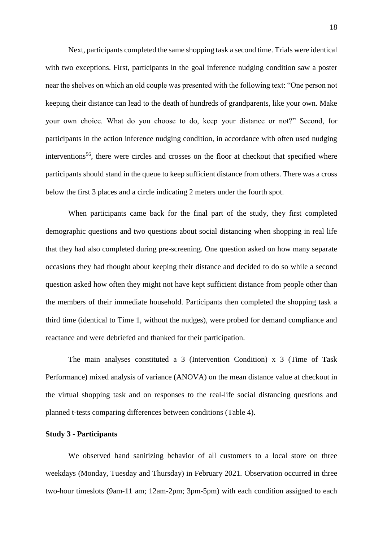Next, participants completed the same shopping task a second time. Trials were identical with two exceptions. First, participants in the goal inference nudging condition saw a poster near the shelves on which an old couple was presented with the following text: "One person not keeping their distance can lead to the death of hundreds of grandparents, like your own. Make your own choice. What do you choose to do, keep your distance or not?" Second, for participants in the action inference nudging condition, in accordance with often used nudging interventions<sup>56</sup>, there were circles and crosses on the floor at checkout that specified where participants should stand in the queue to keep sufficient distance from others. There was a cross below the first 3 places and a circle indicating 2 meters under the fourth spot.

When participants came back for the final part of the study, they first completed demographic questions and two questions about social distancing when shopping in real life that they had also completed during pre-screening. One question asked on how many separate occasions they had thought about keeping their distance and decided to do so while a second question asked how often they might not have kept sufficient distance from people other than the members of their immediate household. Participants then completed the shopping task a third time (identical to Time 1, without the nudges), were probed for demand compliance and reactance and were debriefed and thanked for their participation.

The main analyses constituted a 3 (Intervention Condition) x 3 (Time of Task Performance) mixed analysis of variance (ANOVA) on the mean distance value at checkout in the virtual shopping task and on responses to the real-life social distancing questions and planned t-tests comparing differences between conditions (Table 4).

#### **Study 3 - Participants**

We observed hand sanitizing behavior of all customers to a local store on three weekdays (Monday, Tuesday and Thursday) in February 2021. Observation occurred in three two-hour timeslots (9am-11 am; 12am-2pm; 3pm-5pm) with each condition assigned to each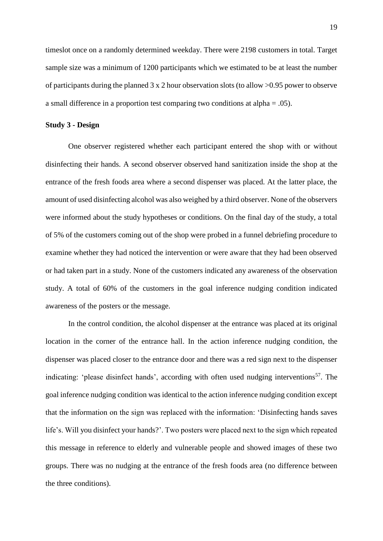timeslot once on a randomly determined weekday. There were 2198 customers in total. Target sample size was a minimum of 1200 participants which we estimated to be at least the number of participants during the planned 3 x 2 hour observation slots (to allow >0.95 power to observe a small difference in a proportion test comparing two conditions at alpha = .05).

#### **Study 3 - Design**

One observer registered whether each participant entered the shop with or without disinfecting their hands. A second observer observed hand sanitization inside the shop at the entrance of the fresh foods area where a second dispenser was placed. At the latter place, the amount of used disinfecting alcohol was also weighed by a third observer. None of the observers were informed about the study hypotheses or conditions. On the final day of the study, a total of 5% of the customers coming out of the shop were probed in a funnel debriefing procedure to examine whether they had noticed the intervention or were aware that they had been observed or had taken part in a study. None of the customers indicated any awareness of the observation study. A total of 60% of the customers in the goal inference nudging condition indicated awareness of the posters or the message.

In the control condition, the alcohol dispenser at the entrance was placed at its original location in the corner of the entrance hall. In the action inference nudging condition*,* the dispenser was placed closer to the entrance door and there was a red sign next to the dispenser indicating: 'please disinfect hands', according with often used nudging interventions<sup>57</sup>. The goal inference nudging condition was identical to the action inference nudging condition except that the information on the sign was replaced with the information: 'Disinfecting hands saves life's. Will you disinfect your hands?'. Two posters were placed next to the sign which repeated this message in reference to elderly and vulnerable people and showed images of these two groups. There was no nudging at the entrance of the fresh foods area (no difference between the three conditions).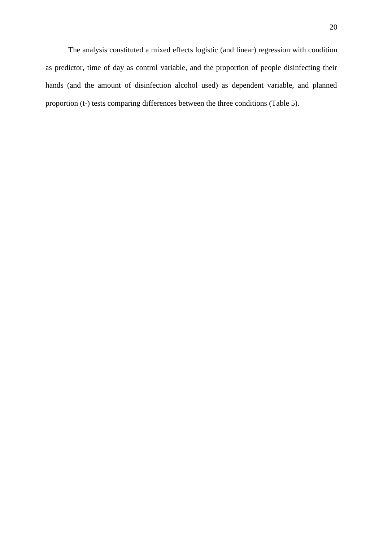The analysis constituted a mixed effects logistic (and linear) regression with condition as predictor, time of day as control variable, and the proportion of people disinfecting their hands (and the amount of disinfection alcohol used) as dependent variable, and planned proportion (t-) tests comparing differences between the three conditions (Table 5).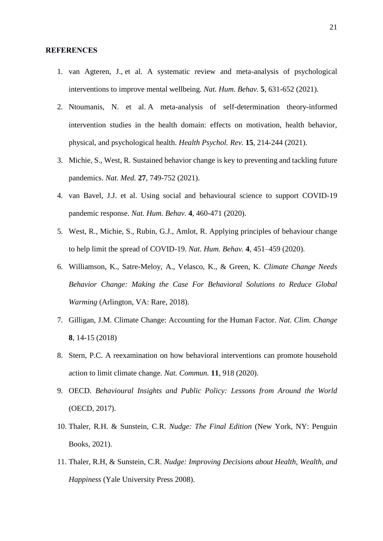#### **REFERENCES**

- 1. van Agteren, J., et al. A systematic review and meta-analysis of psychological interventions to improve mental wellbeing. *Nat. Hum. Behav.* **5**, 631-652 (2021).
- 2. Ntoumanis, N. et al. A meta-analysis of self-determination theory-informed intervention studies in the health domain: effects on motivation, health behavior, physical, and psychological health. *Health Psychol. Rev.* **15**, 214-244 (2021).
- 3. Michie, S., West, R. Sustained behavior change is key to preventing and tackling future pandemics. *Nat. Med.* **27**, 749-752 (2021).
- 4. van Bavel, J.J. et al. Using social and behavioural science to support COVID-19 pandemic response. *Nat. Hum. Behav.* **4**, 460-471 (2020).
- 5. West, R., Michie, S., Rubin, G.J., Amlot, R. Applying principles of behaviour change to help limit the spread of COVID-19. *Nat. Hum. Behav.* **4**, 451–459 (2020).
- 6. Williamson, K., Satre-Meloy, A., Velasco, K., & Green, K. *Climate Change Needs Behavior Change: Making the Case For Behavioral Solutions to Reduce Global Warming* (Arlington, VA: Rare, 2018).
- 7. Gilligan, J.M. Climate Change: Accounting for the Human Factor. *Nat. Clim. Change*  **8**, 14-15 (2018)
- 8. Stern, P.C. A reexamination on how behavioral interventions can promote household action to limit climate change. *Nat. Commun.* **11**, 918 (2020).
- 9. OECD. *Behavioural Insights and Public Policy: Lessons from Around the World*  (OECD, 2017).
- 10. Thaler, R.H. & Sunstein, C.R. *Nudge: The Final Edition* (New York, NY: Penguin Books, 2021).
- 11. Thaler, R.H, & Sunstein, C.R. *Nudge: Improving Decisions about Health, Wealth, and Happiness* [\(Yale University Press](https://en.wikipedia.org/wiki/Yale_University_Press) 2008).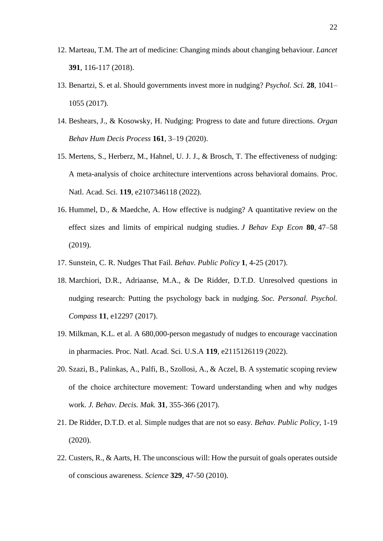- 12. Marteau, T.M. The art of medicine: Changing minds about changing behaviour. *Lancet*  **391**, 116-117 (2018).
- 13. Benartzi, S. et al. Should governments invest more in nudging? *Psychol. Sci.* **28**, 1041– 1055 (2017).
- 14. Beshears, J., & Kosowsky, H. Nudging: Progress to date and future directions. *Organ Behav Hum Decis Process* **161**, 3–19 (2020).
- 15. Mertens, S., Herberz, M., Hahnel, U. J. J., & Brosch, T. The effectiveness of nudging: A meta-analysis of choice architecture interventions across behavioral domains. Proc. Natl. Acad. Sci. **119**, e2107346118 (2022).
- 16. Hummel, D., & Maedche, A. How effective is nudging? A quantitative review on the effect sizes and limits of empirical nudging studies. *J Behav Exp Econ* **80**, 47–58 (2019).
- 17. Sunstein, C. R. Nudges That Fail. *Behav. Public Policy* **1**, 4-25 (2017).
- 18. Marchiori, D.R., Adriaanse, M.A., & De Ridder, D.T.D. Unresolved questions in nudging research: Putting the psychology back in nudging. *Soc. Personal. Psychol. Compass* **11**, e12297 (2017).
- 19. Milkman, K.L. et al. A 680,000-person megastudy of nudges to encourage vaccination in pharmacies. Proc. Natl. Acad. Sci. U.S.A **119**, e2115126119 (2022).
- 20. Szazi, B., Palinkas, A., Palfi, B., Szollosi, A., & Aczel, B. A systematic scoping review of the choice architecture movement: Toward understanding when and why nudges work. *J. Behav. Decis. Mak.* **31**, 355-366 (2017).
- 21. De Ridder, D.T.D. et al. Simple nudges that are not so easy. *Behav. Public Policy*, 1-19 (2020).
- 22. Custers, R., & Aarts, H. The unconscious will: How the pursuit of goals operates outside of conscious awareness. *Science* **329**, 47-50 (2010).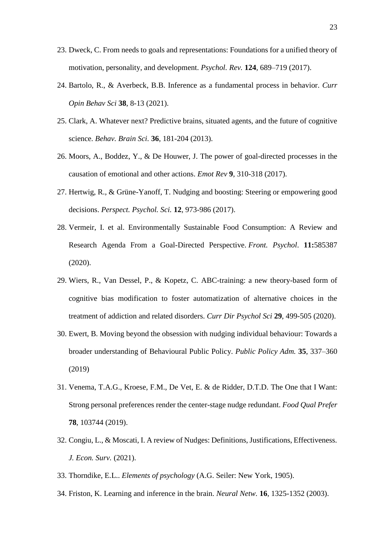- 23. Dweck, C. From needs to goals and representations: Foundations for a unified theory of motivation, personality, and development. *Psychol. Rev.* **124**, 689–719 (2017).
- 24. Bartolo, R., & Averbeck, B.B. Inference as a fundamental process in behavior. *Curr Opin Behav Sci* **38**, 8-13 (2021).
- 25. Clark, A. Whatever next? Predictive brains, situated agents, and the future of cognitive science. *Behav. Brain Sci.* **36**, 181-204 (2013).
- 26. [Moors, A.,](https://ppw.kuleuven.be/okp/people/Agnes_Moors/) Boddez, Y., & De Houwer, J. The power of goal-directed processes in the causation of emotional and other actions. *Emot Rev* **9**, 310-318 (2017).
- 27. Hertwig, R., & Grüne-Yanoff, T. Nudging and boosting: Steering or empowering good decisions. *Perspect. Psychol. Sci.* **12**, 973-986 (2017).
- 28. Vermeir, I. et al. Environmentally Sustainable Food Consumption: A Review and Research Agenda From a Goal-Directed Perspective. *Front. Psychol*. **11:**585387 (2020).
- 29. Wiers, R., Van Dessel, P., & Kopetz, C. ABC-training: a new theory-based form of cognitive bias modification to foster automatization of alternative choices in the treatment of addiction and related disorders. *Curr Dir Psychol Sci* **29**, 499-505 (2020).
- 30. Ewert, B. Moving beyond the obsession with nudging individual behaviour: Towards a broader understanding of Behavioural Public Policy. *Public Policy Adm.* **35**, 337–360 (2019)
- 31. Venema, T.A.G., Kroese, F.M., De Vet, E. & de Ridder, D.T.D. The One that I Want: Strong personal preferences render the center-stage nudge redundant. *Food Qual Prefer* **78**, 103744 (2019).
- 32. Congiu, L., & Moscati, I. A review of Nudges: Definitions, Justifications, Effectiveness. *J. Econ. Surv.* (2021).
- 33. Thorndike, E.L.. *Elements of psychology* (A.G. Seiler: New York, 1905).
- 34. Friston, K. Learning and inference in the brain. *Neural Netw.* **16**, 1325-1352 (2003).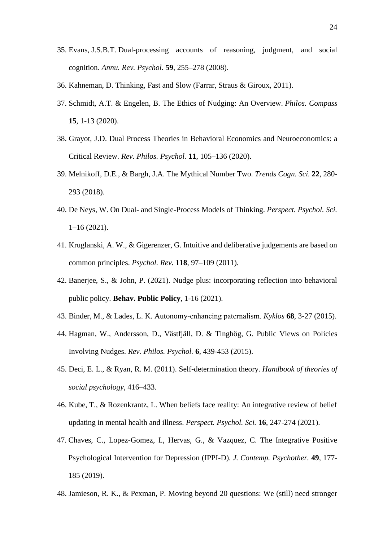- 35. Evans, J.S.B.T. Dual-processing accounts of reasoning, judgment, and social cognition. *Annu. Rev. Psychol.* **59**, 255–278 (2008).
- 36. Kahneman, D. Thinking, Fast and Slow (Farrar, Straus & Giroux, 2011).
- 37. Schmidt, A.T. & Engelen, B. The Ethics of Nudging: An Overview. *Philos. Compass* **15**, 1-13 (2020).
- 38. Grayot, J.D. Dual Process Theories in Behavioral Economics and Neuroeconomics: a Critical Review. *Rev. Philos. Psychol.* **11**, 105–136 (2020).
- 39. Melnikoff, D.E., & Bargh, J.A. The Mythical Number Two. *Trends Cogn. Sci.* **22**, 280- 293 (2018).
- 40. De Neys, W. On Dual- and Single-Process Models of Thinking. *Perspect. Psychol. Sci.* 1–16 (2021).
- 41. Kruglanski, A. W., & Gigerenzer, G. Intuitive and deliberative judgements are based on common principles. *Psychol. Rev.* **118**, 97–109 (2011).
- 42. Banerjee, S., & John, P. (2021). Nudge plus: incorporating reflection into behavioral public policy. **Behav. Public Policy**, 1-16 (2021).
- 43. Binder, M., & Lades, L. K. Autonomy‐enhancing paternalism. *Kyklos* **68**, 3-27 (2015).
- 44. Hagman, W., Andersson, D., Västfjäll, D. & Tinghög, G. Public Views on Policies Involving Nudges. *Rev. Philos. Psychol.* **6**, 439-453 (2015).
- 45. Deci, E. L., & Ryan, R. M. (2011). Self-determination theory. *Handbook of theories of social psychology,* 416–433.
- 46. Kube, T., & Rozenkrantz, L. When beliefs face reality: An integrative review of belief updating in mental health and illness. *Perspect. Psychol. Sci.* **16**, 247-274 (2021).
- 47. Chaves, C., Lopez-Gomez, I., Hervas, G., & Vazquez, C. The Integrative Positive Psychological Intervention for Depression (IPPI-D). *J. Contemp. Psychother.* **49**, 177- 185 (2019).
- 48. Jamieson, R. K., & Pexman, P. Moving beyond 20 questions: We (still) need stronger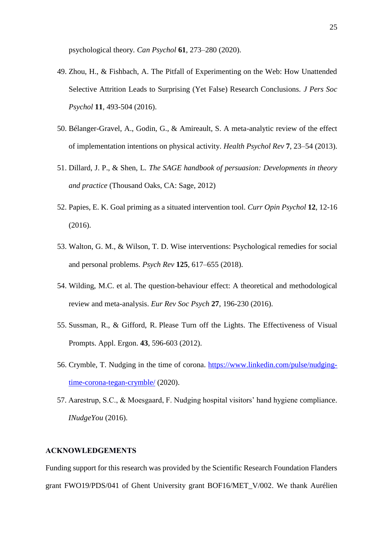psychological theory*. Can Psychol* **61**, 273–280 (2020).

- 49. Zhou, H., & Fishbach, A. The Pitfall of Experimenting on the Web: How Unattended Selective Attrition Leads to Surprising (Yet False) Research Conclusions. *J Pers Soc Psychol* **11**, 493-504 (2016).
- 50. Bélanger-Gravel, A., Godin, G., & Amireault, S. A meta-analytic review of the effect of implementation intentions on physical activity. *Health Psychol Rev* **7**, 23–54 (2013).
- 51. Dillard, J. P., & Shen, L. *The SAGE handbook of persuasion: Developments in theory and practice* (Thousand Oaks, CA: Sage, 2012)
- 52. Papies, E. K. Goal priming as a situated intervention tool. *Curr Opin Psychol* **12**, 12-16 (2016).
- 53. Walton, G. M., & Wilson, T. D. Wise interventions: Psychological remedies for social and personal problems. *Psych Rev* **125***,* 617–655 (2018).
- 54. Wilding, M.C. et al. The question-behaviour effect: A theoretical and methodological review and meta-analysis. *Eur Rev Soc Psych* **27**, 196-230 (2016).
- 55. Sussman, R., & Gifford, R. Please Turn off the Lights. The Effectiveness of Visual Prompts. Appl. Ergon. **43**, 596-603 (2012).
- 56. Crymble, T. Nudging in the time of corona. [https://www.linkedin.com/pulse/nudging](https://www.linkedin.com/pulse/nudging-time-corona-tegan-crymble/)[time-corona-tegan-crymble/](https://www.linkedin.com/pulse/nudging-time-corona-tegan-crymble/) (2020).
- 57. Aarestrup, S.C., & Moesgaard, F. Nudging hospital visitors' hand hygiene compliance. *INudgeYou* (2016).

## **ACKNOWLEDGEMENTS**

Funding support for this research was provided by the Scientific Research Foundation Flanders grant FWO19/PDS/041 of Ghent University grant BOF16/MET\_V/002. We thank Aurélien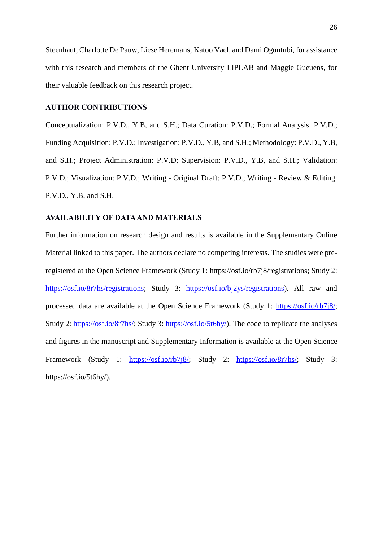Steenhaut, Charlotte De Pauw, Liese Heremans, Katoo Vael, and Dami Oguntubi, for assistance with this research and members of the Ghent University LIPLAB and Maggie Gueuens, for their valuable feedback on this research project.

## **AUTHOR CONTRIBUTIONS**

Conceptualization: P.V.D., Y.B, and S.H.; Data Curation: P.V.D.; Formal Analysis: P.V.D.; Funding Acquisition: P.V.D.; Investigation: P.V.D., Y.B, and S.H.; Methodology: P.V.D., Y.B, and S.H.; Project Administration: P.V.D; Supervision: P.V.D., Y.B, and S.H.; Validation: P.V.D.; Visualization: P.V.D.; Writing - Original Draft: P.V.D.; Writing - Review & Editing: P.V.D., Y.B, and S.H.

## **AVAILABILITY OF DATA AND MATERIALS**

Further information on research design and results is available in the Supplementary Online Material linked to this paper. The authors declare no competing interests. The studies were preregistered at the Open Science Framework (Study 1: https://osf.io/rb7j8/registrations; Study 2: [https://osf.io/8r7hs/registrations;](https://osf.io/8r7hs/registrations) Study 3: [https://osf.io/bj2ys/registrations\)](https://osf.io/bj2ys/registrations). All raw and processed data are available at the Open Science Framework (Study 1: [https://osf.io/rb7j8/;](https://osf.io/rb7j8/) Study 2: [https://osf.io/8r7hs/;](https://osf.io/8r7hs/) Study 3: [https://osf.io/5t6hy/\)](https://osf.io/5t6hy/). The code to replicate the analyses and figures in the manuscript and Supplementary Information is available at the Open Science Framework (Study 1: [https://osf.io/rb7j8/;](https://osf.io/rb7j8/) Study 2: [https://osf.io/8r7hs/;](https://osf.io/8r7hs/) Study 3: https://osf.io/5t6hy/).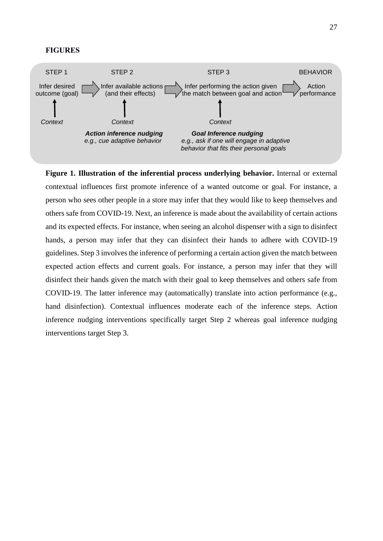#### **FIGURES**



**Figure 1. Illustration of the inferential process underlying behavior.** Internal or external contextual influences first promote inference of a wanted outcome or goal. For instance, a person who sees other people in a store may infer that they would like to keep themselves and others safe from COVID-19. Next, an inference is made about the availability of certain actions and its expected effects. For instance, when seeing an alcohol dispenser with a sign to disinfect hands, a person may infer that they can disinfect their hands to adhere with COVID-19 guidelines. Step 3 involves the inference of performing a certain action given the match between expected action effects and current goals. For instance, a person may infer that they will disinfect their hands given the match with their goal to keep themselves and others safe from COVID-19. The latter inference may (automatically) translate into action performance (e.g., hand disinfection). Contextual influences moderate each of the inference steps. Action inference nudging interventions specifically target Step 2 whereas goal inference nudging interventions target Step 3.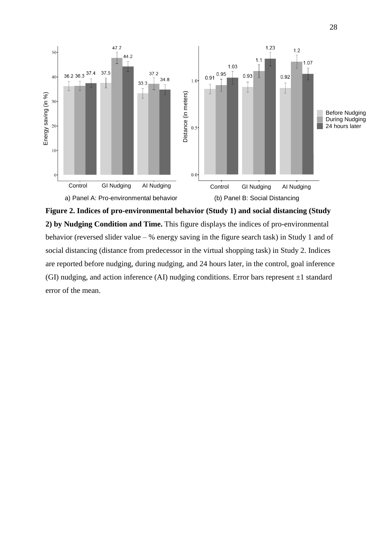

**Figure 2. Indices of pro-environmental behavior (Study 1) and social distancing (Study 2) by Nudging Condition and Time.** This figure displays the indices of pro-environmental behavior (reversed slider value – % energy saving in the figure search task) in Study 1 and of social distancing (distance from predecessor in the virtual shopping task) in Study 2. Indices are reported before nudging, during nudging, and 24 hours later, in the control, goal inference (GI) nudging, and action inference (AI) nudging conditions. Error bars represent  $\pm 1$  standard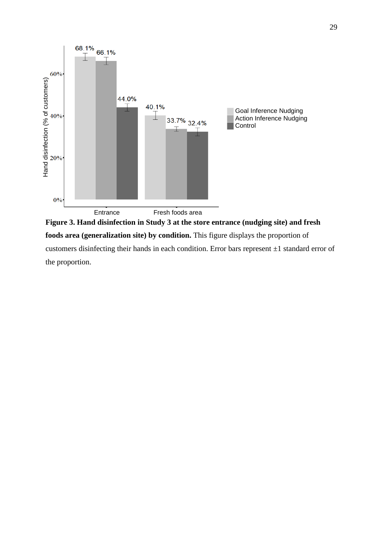

**Figure 3. Hand disinfection in Study 3 at the store entrance (nudging site) and fresh foods area (generalization site) by condition.** This figure displays the proportion of customers disinfecting their hands in each condition. Error bars represent ±1 standard error of the proportion.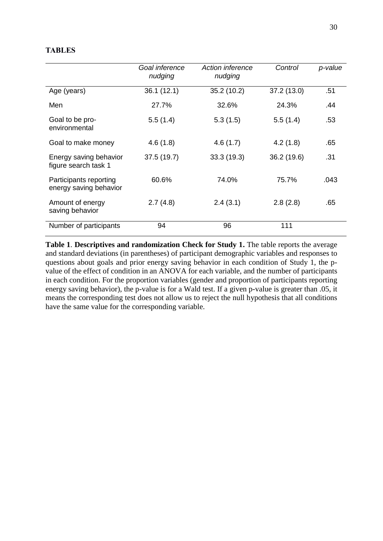## **TABLES**

|                                                  | Goal inference<br>nudging | Action inference<br>nudging | Control     | p-value |
|--------------------------------------------------|---------------------------|-----------------------------|-------------|---------|
| Age (years)                                      | 36.1(12.1)                | 35.2(10.2)                  | 37.2 (13.0) | .51     |
| Men                                              | 27.7%                     | 32.6%                       | 24.3%       | .44     |
| Goal to be pro-<br>environmental                 | 5.5(1.4)                  | 5.3(1.5)                    | 5.5(1.4)    | .53     |
| Goal to make money                               | 4.6(1.8)                  | 4.6(1.7)                    | 4.2(1.8)    | .65     |
| Energy saving behavior<br>figure search task 1   | 37.5(19.7)                | 33.3(19.3)                  | 36.2 (19.6) | .31     |
| Participants reporting<br>energy saving behavior | 60.6%                     | 74.0%                       | 75.7%       | .043    |
| Amount of energy<br>saving behavior              | 2.7(4.8)                  | 2.4(3.1)                    | 2.8(2.8)    | .65     |
| Number of participants                           | 94                        | 96                          | 111         |         |

Table 1. Descriptives and randomization Check for Study 1. The table reports the average and standard deviations (in parentheses) of participant demographic variables and responses to questions about goals and prior energy saving behavior in each condition of Study 1, the pvalue of the effect of condition in an ANOVA for each variable, and the number of participants in each condition. For the proportion variables (gender and proportion of participants reporting energy saving behavior), the p-value is for a Wald test. If a given p-value is greater than .05, it means the corresponding test does not allow us to reject the null hypothesis that all conditions have the same value for the corresponding variable.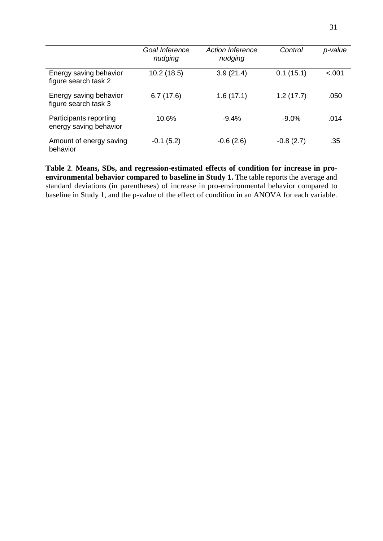|                                                  | Goal Inference<br>nudging | <b>Action Inference</b><br>nudging | Control     | p-value |
|--------------------------------------------------|---------------------------|------------------------------------|-------------|---------|
| Energy saving behavior<br>figure search task 2   | 10.2(18.5)                | 3.9(21.4)                          | 0.1(15.1)   | < .001  |
| Energy saving behavior<br>figure search task 3   | 6.7(17.6)                 | 1.6(17.1)                          | 1.2(17.7)   | .050    |
| Participants reporting<br>energy saving behavior | 10.6%                     | $-9.4%$                            | $-9.0\%$    | .014    |
| Amount of energy saving<br>behavior              | $-0.1(5.2)$               | $-0.6(2.6)$                        | $-0.8(2.7)$ | .35     |

**Table 2**. **Means, SDs, and regression-estimated effects of condition for increase in pro**environmental behavior compared to baseline in Study 1. The table reports the average and standard deviations (in parentheses) of increase in pro-environmental behavior compared to baseline in Study 1, and the p-value of the effect of condition in an ANOVA for each variable.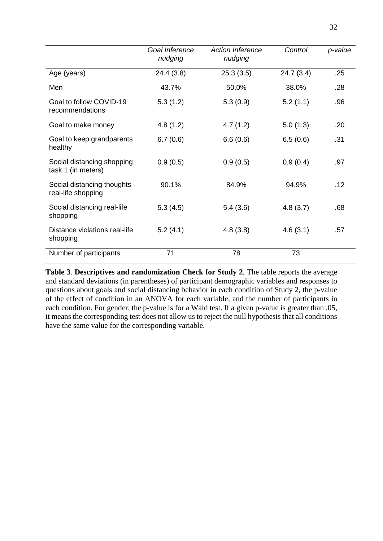|                                                  | Goal Inference<br>nudging | <b>Action Inference</b><br>nudging | Control   | p-value |
|--------------------------------------------------|---------------------------|------------------------------------|-----------|---------|
| Age (years)                                      | 24.4(3.8)                 | 25.3(3.5)                          | 24.7(3.4) | .25     |
| Men                                              | 43.7%                     | 50.0%                              | 38.0%     | .28     |
| Goal to follow COVID-19<br>recommendations       | 5.3(1.2)                  | 5.3(0.9)                           | 5.2(1.1)  | .96     |
| Goal to make money                               | 4.8(1.2)                  | 4.7(1.2)                           | 5.0(1.3)  | .20     |
| Goal to keep grandparents<br>healthy             | 6.7(0.6)                  | 6.6(0.6)                           | 6.5(0.6)  | .31     |
| Social distancing shopping<br>task 1 (in meters) | 0.9(0.5)                  | 0.9(0.5)                           | 0.9(0.4)  | .97     |
| Social distancing thoughts<br>real-life shopping | 90.1%                     | 84.9%                              | 94.9%     | .12     |
| Social distancing real-life<br>shopping          | 5.3(4.5)                  | 5.4(3.6)                           | 4.8(3.7)  | .68     |
| Distance violations real-life<br>shopping        | 5.2(4.1)                  | 4.8(3.8)                           | 4.6(3.1)  | .57     |
| Number of participants                           | 71                        | 78                                 | 73        |         |

**Table 3**. **Descriptives and randomization Check for Study 2***.* The table reports the average and standard deviations (in parentheses) of participant demographic variables and responses to questions about goals and social distancing behavior in each condition of Study 2, the p-value of the effect of condition in an ANOVA for each variable, and the number of participants in each condition. For gender, the p-value is for a Wald test. If a given p-value is greater than .05, it means the corresponding test does not allow us to reject the null hypothesis that all conditions have the same value for the corresponding variable.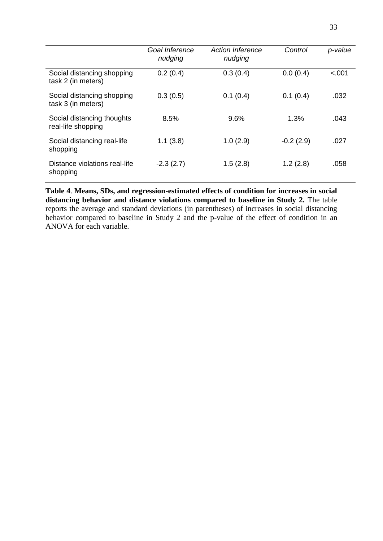|                                                  | Goal Inference<br>nudging | <b>Action Inference</b><br>nudging | Control     | p-value |
|--------------------------------------------------|---------------------------|------------------------------------|-------------|---------|
| Social distancing shopping<br>task 2 (in meters) | 0.2(0.4)                  | 0.3(0.4)                           | 0.0(0.4)    | $-.001$ |
| Social distancing shopping<br>task 3 (in meters) | 0.3(0.5)                  | 0.1(0.4)                           | 0.1(0.4)    | .032    |
| Social distancing thoughts<br>real-life shopping | 8.5%                      | 9.6%                               | 1.3%        | .043    |
| Social distancing real-life<br>shopping          | 1.1(3.8)                  | 1.0(2.9)                           | $-0.2(2.9)$ | .027    |
| Distance violations real-life<br>shopping        | $-2.3(2.7)$               | 1.5(2.8)                           | 1.2(2.8)    | .058    |

**Table 4**. **Means, SDs, and regression-estimated effects of condition for increases in social**  distancing behavior and distance violations compared to baseline in Study 2. The table reports the average and standard deviations (in parentheses) of increases in social distancing behavior compared to baseline in Study 2 and the p-value of the effect of condition in an ANOVA for each variable.